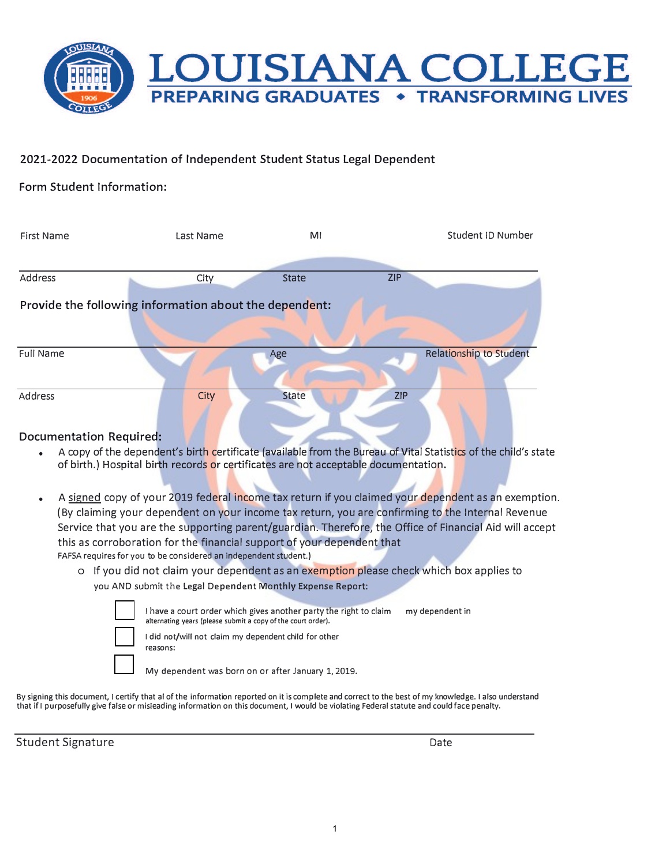

## 2021-2022 Documentation of Independent Student Status Legal Dependent

## Form Student Information:

| First Name                                             | Last Name                                                                           | MI           | Student ID Number                                                                                               |  |  |  |  |  |  |
|--------------------------------------------------------|-------------------------------------------------------------------------------------|--------------|-----------------------------------------------------------------------------------------------------------------|--|--|--|--|--|--|
|                                                        |                                                                                     |              |                                                                                                                 |  |  |  |  |  |  |
| Address                                                | City                                                                                | <b>State</b> | <b>ZIP</b>                                                                                                      |  |  |  |  |  |  |
| Provide the following information about the dependent: |                                                                                     |              |                                                                                                                 |  |  |  |  |  |  |
|                                                        |                                                                                     |              |                                                                                                                 |  |  |  |  |  |  |
| Full Name                                              |                                                                                     | Age          | Relationship to Student                                                                                         |  |  |  |  |  |  |
|                                                        |                                                                                     |              |                                                                                                                 |  |  |  |  |  |  |
| <b>Address</b>                                         | City                                                                                | <b>State</b> | <b>ZIP</b>                                                                                                      |  |  |  |  |  |  |
|                                                        |                                                                                     |              |                                                                                                                 |  |  |  |  |  |  |
| <b>Documentation Required:</b>                         |                                                                                     |              |                                                                                                                 |  |  |  |  |  |  |
| $\bullet$                                              | of birth.) Hospital birth records or certificates are not acceptable documentation. |              | A copy of the dependent's birth certificate (available from the Bureau of Vital Statistics of the child's state |  |  |  |  |  |  |

- A signed copy of your 2019 federal income tax return if you claimed your dependent as an exemption. (By claiming your dependent on your income tax return, you are confirming to the Internal Revenue Service that you are the supporting parent/guardian. Therefore, the Office of Financial Aid will accept this as corroboration for the financial support of your dependent that FAFSA requires for you to be considered an independent student.)
	- o If you did not claim your dependent as an exemption please check which box applies to you AND submit the Legal Dependent Monthly Expense Report:

reasons:

I have a court order which gives another party the right to claim my dependent in **alternating years (please submit a copy of the court order). □** I did not/will not claim my dependent child for other

**□** My dependent was born on or after January 1, 2019.

By signing this document, I certify that al of the information reported on it is complete and correct to the best of my knowledge. I also understand that if I purposefully give false or misleading information on this document, I would be violating Federal statute and could face penalty.

Student Signature Date Date of the Date of the Date of the Date of the Date of the Date of the Date of the Date of the Date of the Date of the Date of the Date of the Date of the Date of the Date of the Date of the Date of